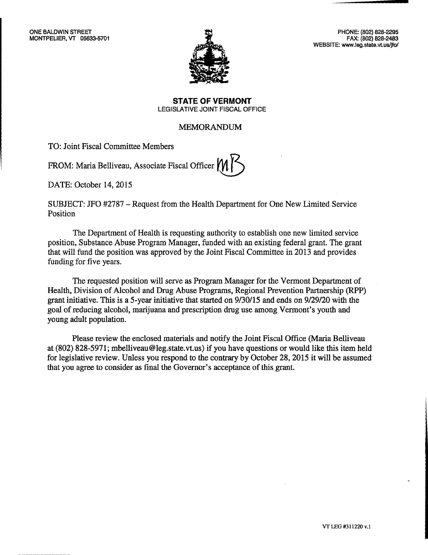

PHONE: (802) 828-2295 FAX: (802) 828-2483 WEBSITE: www.leg.state.vt.us/jfo/

**STATE OF VERMONT**  LEGISLATIVE JOINT FISCAL OFFICE

# MEMORANDUM

TO: Joint Fiscal Committee Members

FROM: Maria Belliveau, Associate Fiscal Officer

DATE: October 14, 2015

SUBJECT: JFO #2787 — Request from the Health Department for One New Limited Service Position

The Department of Health is requesting authority to establish one new limited service position, Substance Abuse Program Manager, funded with an existing federal grant. The grant that will fund the position was approved by the Joint Fiscal Committee in 2013 and provides funding for five years.

The requested position will serve as Program Manager for the Vermont Department of Health, Division of Alcohol and Drug Abuse Programs, Regional Prevention Partnership (RPP) grant initiative. This is a 5-year initiative that started on 9/30/15 and ends on 9/29/20 with the goal of reducing alcohol, marijuana and prescription drug use among Vermont's youth and young adult population.

Please review the enclosed materials and notify the Joint Fiscal Office (Maria Belliveau at (802) 828-5971; mbelliveau@leg.state.vt.us) if you have questions or would like this item held for legislative review. Unless you respond to the contrary by October 28, 2015 it will be assumed that you agree to consider as final the Governor's acceptance of this grant.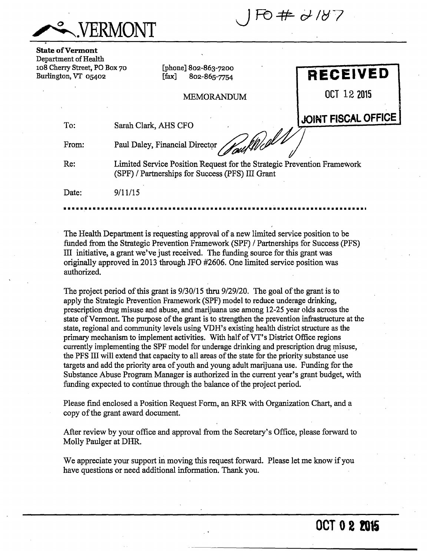

**State of Vermont**  Department of Health 108 Cherry Street, PO Box 70 Burlington, VT 05402

[phone] 802-863-7200  $[fax]$  802-865-7754

MEMORANDUM

**RECEIVED** 

**OCT 12 2015** 

To: Sarah Clark, AHS CFO

From:

Paul Daley, Financial Director **JOINT FISCAL OFFICE** 

Re: Limited Service Position Request for the Strategic Prevention Framework (SPF) / Partnerships for Success (PFS) III Grant

Date: 9/11/15

The Health Department is requesting approval of a new limited service position to be funded from the Strategic Prevention Framework (SPF) / Partnerships for Success (PFS) LH initiative, a grant we've just received. The funding source for this grant was originally approved in 2013 through JFO #2606. One limited service position was authorized.

The project period of this grant is 9/30/15 thru 9/29/20. The goal of the grant is to apply the Strategic Prevention Framework (SPF) model to reduce underage drinking, prescription drug misuse and abuse, and marijuana use among 12-25 year olds across the state of Vermont. The purpose of the grant is to strengthen the prevention infrastructure at the state, regional and community levels using VDH's existing health district structure as the primary mechanism to implement activities. With half of VT's District Office regions currently implementing the SPF model for underage drinking and prescription drug misuse, the PFS III will extend that capacity to all areas of the state for the priority substance use targets and add the priority area of youth and young adult marijuana use. Funding for the Substance Abuse Program Manager is authorized in the current year's grant budget, with funding expected to continue through the balance of the project period.

Please find enclosed a Position Request Form, an RFR with Organization Chart, and a copy of the grant award document.

After review by your office and approval from the Secretary's Office, please forward to Molly Paulger at DHR.

We appreciate your support in moving this request forward. Please let me know if you have questions or need additional information. Thank you.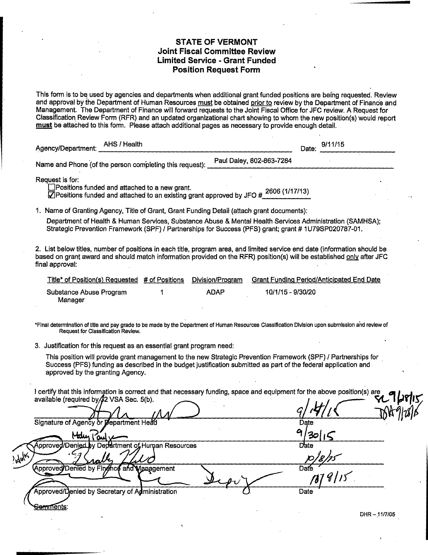### **STATE OF VERMONT Joint Fiscal Committee Review Limited Service - Grant Funded Position Request Form**

This form is to be used by agencies and departments when additional grant funded positions are being requested. Review and approval by the Department of Human Resources must be obtained prior to review by the Department of Finance and Management. The Department of Finance will forward requests to the Joint Fiscal Office for JFC review. A Request for Classification Review Form (RFR) and an updated organizational chart showing to whom the new position(s) would report must be attached to this form. Please attach additional pages as necessary to provide enough detail.

| AHS / Health<br>Agency/Department:                      |                          |  | Date: 9/11/15 |
|---------------------------------------------------------|--------------------------|--|---------------|
| Name and Phone (of the person completing this request): | Paul Daley, 802-863-7284 |  |               |

Request is for:<br> **Example 2** Positions funded and attached to a new grant.  $\Box$  concrete random and attached to a new grant.  $\Box$  2606 (1/17/13)  $\Box$  Positions funded and attached to an existing grant approved by JFO #

1. Name of Granting Agency, Title of Grant, Grant Funding Detail (attach grant documents):

Department of Health & Human Services, Substance Abuse & Mental Health Services Administration (SAMHSA); Strategic Prevention Framework (SPF) / Partnerships for Success (PFS) grant; grant # 1U79SP020787-01.

2. List below titles, number of positions in each title, program area, and limited service end date (information should be based on grant award and should match information provided on the RFR) position(s) will be established only after JFC final approval:

| Title* of Position(s) Requested # of Positions | Division/Program | <b>Grant Funding Period/Anticipated End Date</b> |
|------------------------------------------------|------------------|--------------------------------------------------|
| Substance Abuse Program<br>Manager             | ADAP             | 10/1/15 - 9/30/20                                |

\*Final determination of title and pay grade to be made by the Department of Human Resources Classification Division upon submission and review of Request for Classification Review.

3. Justification for this request as an essential grant program need:

This position will provide grant management to the new Strategic Prevention Framework (SPF) / Partnerships for Success (PFS) funding as described in the budget justification submitted as part of the federal application and approved by the granting Agency.

available (required by 42 VSA Sec. 5(b). I certify that this information is correct and that necessary funding, space and equipment for the above position(s) are

|             | available (required by/\$2 VSA Sec. 5(b).                        |             | YL<br>נוויש |
|-------------|------------------------------------------------------------------|-------------|-------------|
|             | Signature of Agency or <i>pepartment</i> Head                    | Date<br>Q   |             |
|             | Malin<br>است<br>Approved/Denied by Department of Human Resources | 30          |             |
| $y_{\rm b}$ | rath                                                             | Date        |             |
|             | (Approved/Denied by Finghce and Management                       | Date        |             |
|             | Approved/Denied by Secretary of Administration                   | Date        |             |
|             | <del>Genπ∩</del> ents:                                           | DHR-11/7/05 |             |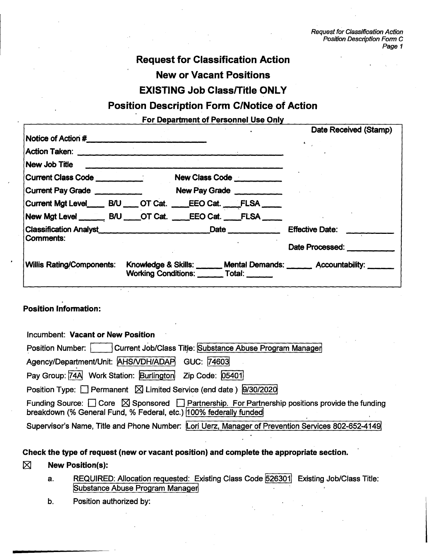# **Request for Classification Action New or Vacant Positions**

# **EXISTING Job Class/Title ONLY**

# **Position Description Form C/Notice of Action**

# **For Department of Personnel Use Only**

|                                        |  | Date Received (Stamp)                                                                                                                                                                                                                                                                                                                                     |
|----------------------------------------|--|-----------------------------------------------------------------------------------------------------------------------------------------------------------------------------------------------------------------------------------------------------------------------------------------------------------------------------------------------------------|
|                                        |  |                                                                                                                                                                                                                                                                                                                                                           |
| Action Taken: <u>_________________</u> |  |                                                                                                                                                                                                                                                                                                                                                           |
|                                        |  |                                                                                                                                                                                                                                                                                                                                                           |
|                                        |  |                                                                                                                                                                                                                                                                                                                                                           |
| Current Pay Grade                      |  |                                                                                                                                                                                                                                                                                                                                                           |
|                                        |  |                                                                                                                                                                                                                                                                                                                                                           |
|                                        |  |                                                                                                                                                                                                                                                                                                                                                           |
|                                        |  | <b>Effective Date:</b>                                                                                                                                                                                                                                                                                                                                    |
|                                        |  | Date Processed: Note that the processed:                                                                                                                                                                                                                                                                                                                  |
|                                        |  |                                                                                                                                                                                                                                                                                                                                                           |
|                                        |  | New Class Code<br>New Pay Grade<br>Current Mgt Level_____ B/U ____ OT Cat. ____EEO Cat. ____FLSA ____<br>New Mgt Level _______ B/U ____OT Cat. ____EEO Cat. ____FLSA ____<br>Classification Analyst <b>Classification Analyst</b><br>Knowledge & Skills: ______ Mental Demands: ______ Accountability: _____<br>Working Conditions: _______ Total: ______ |

## **Position Information:**

| Incumbent: Vacant or New Position                                                                                                                                                         |
|-------------------------------------------------------------------------------------------------------------------------------------------------------------------------------------------|
| Position Number: Current Job/Class Title: Substance Abuse Program Manager                                                                                                                 |
| Agency/Department/Unit: AHS/VDH/ADAP<br>GUC: 74603                                                                                                                                        |
| Pay Group: 74A Work Station: Burlington Zip Code: 05401                                                                                                                                   |
| Position Type: $\Box$ Permanent $\boxtimes$ Limited Service (end date ) $\boxed{9/30/2020}$                                                                                               |
| Funding Source: $\Box$ Core $\boxtimes$ Sponsored $\Box$ Partnership. For Partnership positions provide the funding<br>breakdown (% General Fund, % Federal, etc.)  100% federally funded |
| Supervisor's Name, Title and Phone Number: Lori Uerz, Manager of Prevention Services 802-652-4149                                                                                         |

## **Check the type of request (new or vacant position) and complete the appropriate section.**

## El **New Position(s):**

- a. REQUIRED: Allocation requested: Existing Class Code 526301 Existing Job/Class Title: **Substance Abuse Program Manager,**
- **b. Position authorized by:**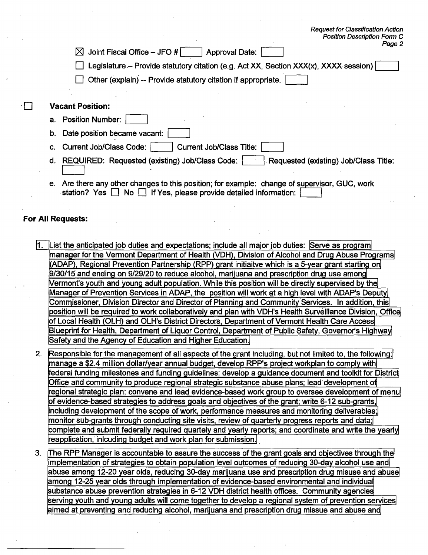| r osmon peschipaon i onn c<br>Page 2<br>Joint Fiscal Office $-$ JFO #<br>ᢂ<br><b>Approval Date:</b> |
|-----------------------------------------------------------------------------------------------------|
| Legislature – Provide statutory citation (e.g. Act XX, Section XXX(x), XXXX session)                |
| $\Box$ Other (explain) -- Provide statutory citation if appropriate.                                |
| <b>Vacant Position:</b>                                                                             |
| a. Position Number:                                                                                 |
| Date position became vacant:<br>b.                                                                  |
| <b>Current Job/Class Code:</b><br><b>Current Job/Class Title:</b><br>C.                             |
| REQUIRED: Requested (existing) Job/Class Code:<br>Requested (existing) Job/Class Title:<br>d.       |

**Request for Classification Action Position Description FOM7 C** 

**e. Are there any other changes to this position; for example: change of supervisor, GUC, work**  station? Yes **1** No **1** If Yes, please provide detailed information:

### **For All Requests:**

- **1. List the anticipated job duties and expectations; include all major job duties: Serve as program manager for the Vermont Department of Health (VDH), Division of Alcohol and Drug Abuse Programs (ADAP), Regional Prevention Partnership (RPP) grant initiaitve which is a 5-year grant starting on 9/30/15 and ending on 9/29/20 to reduce alcohol, marijuana and prescription drug use among Vermont's youth and young adult population. While this position will be directly supervised by the Manager of Prevention Services in ADAP, the position will work at a high level with ADAP's Deputy] Commissioner, Division Director and Director of Planning and Community Services. In addition, this position will be required to work collaboratively and plan with VDH's Health Surveillance Division, Office of Local Health (OLH) and OLH's District Directors, Department of Vermont Health Care Access Blueprint for Health, Department of Liquor Control, Department of Public Safety, Governor's Highway Safety and the Agency of Education and Higher Education.**
- 2. Responsible for the management of all aspects of the grant including, but not limited to, the following: **manage a \$2.4 million dollar/year annual budget, develop RPP's project workplan to comply with federal funding milestones and funding guidelines; develop a guidance document and toolkit for District Office and community to produce regional strategic substance abuse plans; lead development of regional strategic plan; convene and lead evidence-based work group to oversee development of menu of evidence-based strategies to address goals and objectives of the grant; write 6-12 sub-grants, including development of the scope of work, performance measures and monitoring deliverables; monitor sub-grants through conducting site visits, review of quarterly progress reports and data; complete and submit federally required quartely and yearly reports; and coordinate and write the yearly reapplication; inlcuding budget and work plan for submission.**
- **The RPP Manager is accountable to assure the success of the grant goals and objectives through the 7. implementation of strategies to obtain population level outcomes of reducing 30-day alcohol use and**  abuse among 12-20 year olds, reducing 30-day marijuana use and prescription drug misuse and abuse **among 12-25 year olds through implementation of evidence-based environmental and individual substance- abuse prevention strategies in 6-12 VDH district health offices. Community agencies serving youth and young adults will come together to develop a regional system of prevention services**  aimed at preventing and reducing alcohol, marijuana and prescription drug missue and abuse and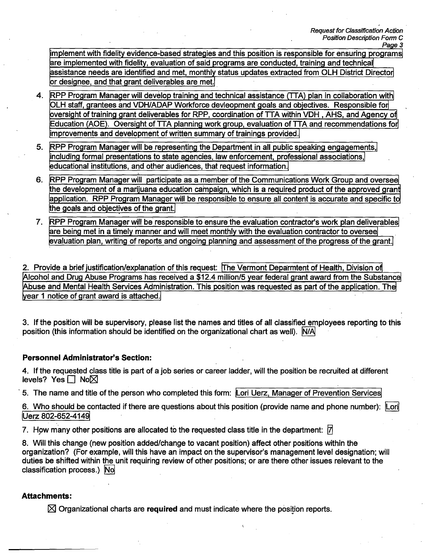**implement with fidelity evidence-based strategies and this position is responsible for ensuring programs are implemented with fidelity, evaluation of said programs are conducted, training and technical assistance needs are identified and met, month!y status updates extracted from OLH District Director or designee, and that grant deliverables are met.** 

- **RPP Program Manager will develop training and technical assistance (TTA) plan in collaboration with 4. OLH staff, grantees and VDH/ADAP Workforce devleopment goals and objectives. Responsible for oversight of training grant deliverables for RPP, coordination of TTA within VDH , AHS, and Agency of Education (AOE). Oversight of TTA planning work group, evaluation of TTA and recommendations for improvements and development of written summary of trainings provided.**
- **5. RPP Program Manager will be representing the Department in all public speaking engagements,' including formal presentations to state agencies, law enforcement, professional associations,' educational institutions, and other audiences, that request information.**
- **RPP Program Manager will participate as a member of the Communications Work Group and oversee the development of a marijuana education campaign, which is a required product of the approved grant application. RPP Program Manager will be responsible to ensure all content is accurate and specific to the goals and objectives of the grant. 6.**
- 7. RPP Program Manager will be responsible to ensure the evaluation contractor's work plan deliverables **are being met in a timely manner and will meet monthly with the evaluation contractor to oversee evaluation plan, writing of reports and ongoing planning and assessment of the progress of the grant.**

**2. Provide a brief justification/explanation of this request: The Vermont Depgrmtent of Health, Division of Alcohol and Drug Abuse Programs has received a \$12.4 million/5 year federal grant award from the Substance Abuse and Mental Health Services Administration. This position was requested as part of the application. The year 1 notice of grant award is attached.** 

**3. If the position will be supervisory, please list the names and titles of all classified employees reporting to this position (this information should be identified on the organizational chart as well). N/A'** 

## **Personnel Administrator's Section:**

**4. If the requested class title is part of a job series or career ladder, will the position be recruited at different levels? Yes** □ No⊠

**5. The name and title of the person who completed this form: Lori Uerz, Manager of Prevention Services** 

**6. Who should be contacted if there are questions about this position (provide name and phone number): Lori Uerz 802-652-4149** 

**7. How many other positions are allocated to the requested class title in the department:**  $\vec{A}$ 

**8. Will this change (new position added/change to vacant position) affect other positions within the organization? (For example, will this have an impact on the supervisor's management level designation; will duties be shifted within the unit requiring review of other positions; or are there other issues relevant to the classification process.) No** 

# **Attachments:**

 $\boxtimes$  Organizational charts are **required** and must indicate where the position reports.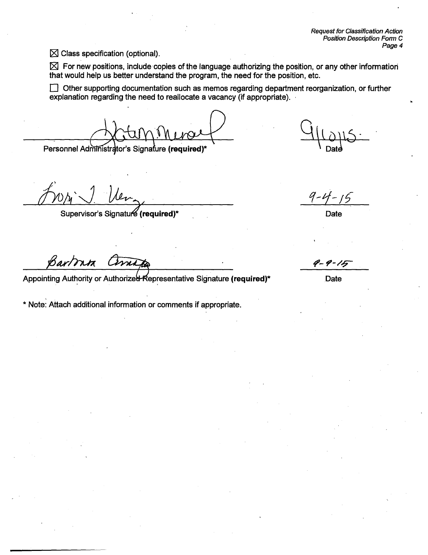**Request for Classification Action Position Description Form C Page 4** 

**El Class specification (optional).** 

**For new positions, include copies of the language authorizing the position, or any other information that would help us better understand the program, the need for the position, etc.** 

D **Other supporting documentation such as memos regarding department reorganization, or further explanation regarding the need to reallocate a vacancy (if appropriate).** 

Personnel Administrator's Signature (required)\*

Ut,

Supervisor's Signatur**e (required)\*** And **Date and Containers and Containers and Date Date Date** 

Bartonta

Appointing Authority or Authorized Representative Signature (required)<sup>\*</sup> Date

**\* Note: Attach additional information or comments if appropriate.** 

 $9 - 4 - 15$ 

P-9-15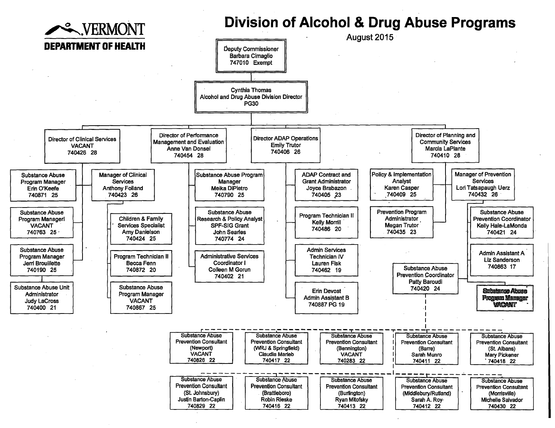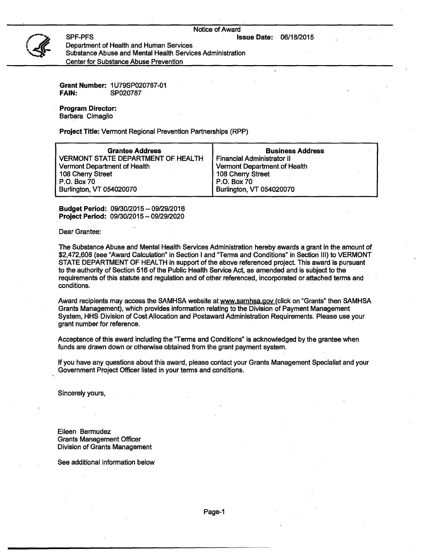#### Notice of Award

**Issue Date:** 06/18/2015



SPF-PFS Department of Health and Human Services Substance Abuse and Mental Health Services Administration Center for Substance Abuse Prevention

**Grant Number:** 1U79SP020787-01 **FAIN:** SP020787

**Program Director:**  Barbara Cimaglio

**Project Title:** Vermont Regional Prevention Partnerships (RPP)

| <b>Grantee Address</b>                    | <b>Business Address</b>           |
|-------------------------------------------|-----------------------------------|
| <b>VERMONT STATE DEPARTMENT OF HEALTH</b> | <b>Financial Administrator II</b> |
| Vermont Department of Health              | Vermont Department of Health      |
| 108 Cherry Street                         | 108 Cherry Street                 |
| P.O. Box 70                               | P.O. Box 70                       |
| Burlington, VT 054020070                  | Burlington, VT 054020070          |

**Budget Period:** 09/30/2015 — 09/29/2016 **Project Period:** 09/30/2015 — 09/29/2020

Dear Grantee:

The Substance Abuse and Mental Health Services Administration hereby awards a grant in the amount of \$2,472,668 (see "Award Calculation" in Section I and "Terms and Conditions" in Section III) to VERMONT STATE DEPARTMENT OF HEALTH in support of the above referenced project This award is pursuant to the authority of Section 516 of the Public Health Service Act, as amended and is subject to the requirements of this statute and regulation and of other referenced, incorporated or attached terms and conditions.

Award recipients may access the SAMHSA website at www.samhsa.gov (click on "Grants" then SAMHSA Grants Management), which provides information relating to the Division of Payment Management System, HHS Division of Cost Allocation and Postaward Administration Requirements. Please use your grant number for reference.

Acceptance of this award including the "Terms and Conditions" is acknowledged by the grantee when funds are drawn down or otherwise obtained from the grant payment system.

If you have any questions about this award, please contact your Grants Management Specialist and your Government Project Officer listed in your terms and conditions.

Sincerely yours,

Eileen Bermudez Grants Management Officer Division of Grants Management

See additional information below

Page-1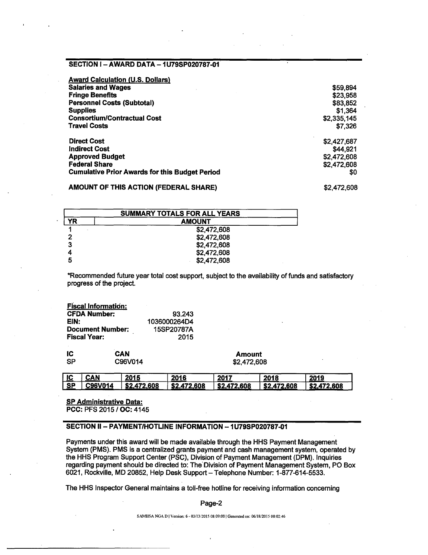### **SECTION I — AWARD DATA — 1U79SP020787-01**

| <b>Award Calculation (U.S. Dollars)</b>               |             |
|-------------------------------------------------------|-------------|
| <b>Salaries and Wages</b>                             | \$59,894    |
| <b>Fringe Benefits</b>                                | \$23,958    |
| <b>Personnel Costs (Subtotal)</b>                     | \$83,852    |
| <b>Supplies</b>                                       | \$1,364     |
| <b>Consortium/Contractual Cost</b>                    | \$2,335,145 |
| <b>Travel Costs</b>                                   | \$7,326     |
| <b>Direct Cost</b>                                    | \$2,427,687 |
| <b>Indirect Cost</b>                                  | \$44.921    |
| <b>Approved Budget</b>                                | \$2,472,608 |
| <b>Federal Share</b>                                  | \$2,472,608 |
| <b>Cumulative Prior Awards for this Budget Period</b> | \$0         |

**AMOUNT OF THIS ACTION (FEDERAL SHARE)** \$2,472,608

| <b>SUMMARY TOTALS FOR ALL YEARS</b> |               |  |  |  |
|-------------------------------------|---------------|--|--|--|
| YR                                  | <b>AMOUNT</b> |  |  |  |
|                                     | \$2,472,608   |  |  |  |
| כי                                  | \$2,472,608   |  |  |  |
| 2                                   | \$2,472,608   |  |  |  |
|                                     | \$2,472,608   |  |  |  |
|                                     | \$2,472,608   |  |  |  |

\*Recommended future year total cost support, subject to the availability of funds and satisfactory progress of the project

|                     | <b>Fiscal Information:</b> |              |               |
|---------------------|----------------------------|--------------|---------------|
| <b>CFDA Number:</b> |                            | 93.243       |               |
| EIN:                |                            | 1036000264D4 |               |
|                     | <b>Document Number:</b>    | 15SP20787A   |               |
| <b>Fiscal Year:</b> |                            | 2015         |               |
| IC                  | CAN                        |              | <b>Amount</b> |
| SP                  | C96V014                    |              | \$2,472,608   |

| <u>ic</u> | CÁN     | 2015        | 2016        | 2017        | 2018        | 2019        |
|-----------|---------|-------------|-------------|-------------|-------------|-------------|
| $S$ P     | C96V014 | \$2,472,608 | \$2,472,608 | \$2,472,608 | \$2,472,608 | \$2,472,608 |

**SP Administrative Data: PCC: PFS 2015 / OC: 4145** 

### **SECTION II— PAYMENT/HOTLINE INFORMATION — 1U79SP020787-01**

Payments under this award will be made available through the HHS Payment Management System (PMS). PMS is a centralized grants payment and cash management system, operated by the HHS Program Support Center (PSC), Division of Payment Management (DPM). Inquiries regarding payment should be directed to: The Division of Payment Management System, PO Box 6021, Rockville, MD 20852, Help Desk Support — Telephone Number: 1-877-614-5533.

The HHS Inspector General maintains a toll-free hotline for receiving information concerning

Page-2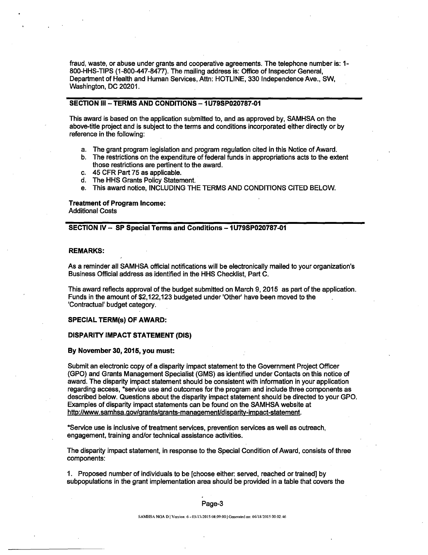fraud, waste, or abuse under grants and cooperative agreements. The telephone number is: 1- 800-HHS-TIPS (1-800-447-8477). The mailing address is: Office of Inspector General, Department of Health and Human Services, Attn: HOTLINE, 330 Independence Ave., SW, Washington, DC 20201.

### **SECTION III — TERMS AND CONDITIONS — 1U79SP020787-01**

This award is based on the application submitted to, and as approved by, SAMHSA on the above-title project and is subject to the terms and conditions incorporated either directly or by reference in the following:

- a. The grant program legislation and program regulation cited in this Notice of Award.
- b. The restrictions on the expenditure of federal funds in appropriations acts to the extent those restrictions are pertinent to the award.
- c. 45 CFR Part 75 as applicable.
- d. The HHS Grants Policy Statement.
- e. This award notice, INCLUDING THE TERMS AND CONDITIONS CITED BELOW.

#### **Treatment of Program Income:**  Additional Costs

#### **SECTION IV — SP Special Terms and Conditions — 1U79SP020787-01**

#### **REMARKS:**

As a reminder all SAMHSA official notifications will be electronically mailed to your organization's Business Official address as identified in the HHS Checklist, Part C.

This award reflects approval of the budget submitted on March 9,2015 as part of the application. Funds in the amount of \$2,122,123 budgeted under 'Other' have been moved to the . 'Contractual' budget category.

#### **SPECIAL TERM(s) OF AWARD:**

#### **DISPARITY IMPACT STATEMENT (DIS)**

### **By November 30, 2015, you must:**

Submit an electronic copy of a disparity impact statement to the Government Project Officer (GPO) and Grants Management Specialist (GMS) as identified under Contacts on this notice of award. The disparity impact statement should be consistent with information in your application regarding access, \*service use and outcomes for the program and include three components as described below. Questions about the disparity impact statement should be directed to your GPO. Examples of disparity impact statements can be found on the SAMHSA website at http://www.samhsa.gov/grants/grants-management/disoarity-imoact-statement.

\*Service use is inclusive of treatment services, prevention services as well as outreach, engagement, training and/or technical assistance activities.

The disparity impact statement, in response to the Special Condition of Award, consists of three components:

1. Proposed number of individuals to be [choose either: served, reached or trained] by subpopulations in the grant implementation area should be provided in a table that covers the

#### Page-3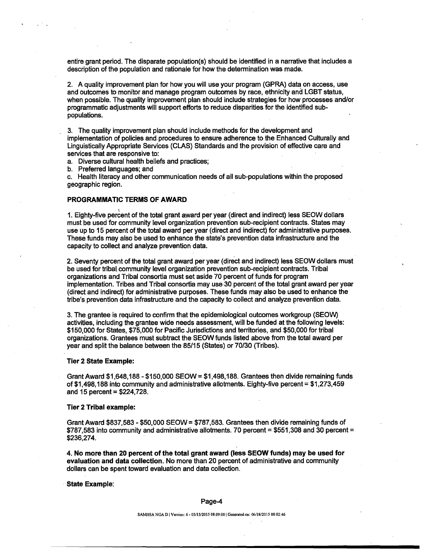entire grant period. The disparate population(s) should be identified in a narrative that includes a description of the population and rationale for how the determination was made.

2. A quality improvement plan for how you will use your program (GPRA) data on access, use and outcomes to monitor and manage program outcomes by race, ethnicity and LGBT status, when possible. The quality improvement plan should include strategies for how processes and/or programmatic adjustments will support efforts to reduce disparities for the identified subpopulations.

3. The quality improvement plan should include methods for the development and implementation of policies and procedures to ensure adherence to the Enhanced Culturally and Linguistically Appropriate Services (CLAS) Standards and the provision of effective care and services that are responsive to:

a. Diverse cultural health beliefs and practices;

b. Preferred languages; and

c. Health literacy and other communication needs of all sub-populations within the proposed geographic region.

#### **PROGRAMMATIC TERMS OF AWARD**

1. Eighty-five percent of the total grant award per year (direct and indirect) less SEOW dollars must be used for community level organization prevention sub-recipient contracts. States may use up to 15 percent of the total award per year (direct and indirect) for administrative purposes. These funds may also be used to enhance the state's prevention data infrastructure and the capacity to collect and analyze prevention data.

2. Seventy percent of the total grant award per year (direct and indirect) less SEOW dollars must be used for tribal community level organization prevention sub-recipient contracts. Tribal organizations and Tribal consortia must set aside 70 percent of funds for program implementation. Tribes and Tribal consortia may use 30 percent of the total grant award per year (direct and indirect) for administrative purposes. These funds may also be used to enhance the tribe's prevention data infrastructure and the capacity to collect and analyze prevention data.

3. The grantee is required to confirm that the epidemiological outcomes workgroup (SEOW) activities, including the grantee wide needs assessment, will be funded at the following levels: \$150,000 for States, \$75,000 for Pacific Jurisdictions and territories, and \$50,000 for tribal organizations. Grantees must subtract the SEOW funds listed above from the total award per year and split the balance between the 85/15 (States) or 70/30 (Tribes).

#### **Tier 2 State Example:**

Grant Award  $$1,648,188 - $150,000$  SEOW =  $$1,498,188$ . Grantees then divide remaining funds of \$1,498,188 into community and administrative allotments. Eighty-five percent = \$1,273,459 and  $15$  percent = \$224,728.

#### **Tier 2 Tribal example:**

Grant Award \$837,583 - \$50,000 SEOW = \$787,583. Grantees then divide remaining funds of \$787,583 into community and administrative allotments. 70 percent = \$551,308 and 30 percent = \$236,274.

**4. No more than 20 percent of the total grant award (less SEOW funds) may be used for evaluation and data collection.** No more than 20 percent of administrative and community dollars can be spent toward evaluation and data collection.

### **State Example:**

#### Page-4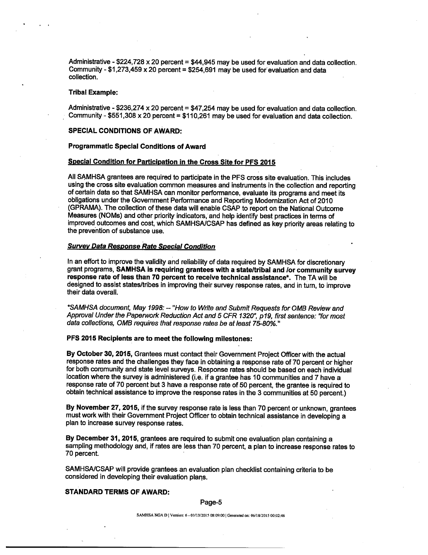Administrative - \$224,728 x 20 percent = \$44,945 may be used for evaluation and data collection. Community -  $$1,273,459 \times 20$  percent =  $$254,691$  may be used for evaluation and data collection.

#### **Tribal Example:**

Administrative - \$236,274 x 20 percent = \$47,254 may be used for evaluation and data collection. Community - \$551,308 x 20 percent = \$110,261 may be used for evaluation and data collection.

### **SPECIAL CONDITIONS OF AWARD:**

#### **Programmatic Special Conditions of Award**

#### **Special Condition for Participation in the Cross Site for PFS 2015**

All SAMHSA grantees are required to participate in the PFS cross site evaluation. This includes using the cross site evaluation common measures and instruments in the collection and reporting of certain data so that SAMHSA can monitor performance, evaluate its programs and meet its obligations under the Government Performance and Reporting Modernization Act of 2010 (GPRAMA). The collection of these data will enable CSAP to report on the National Outcome Measures (NOMs) and other priority indicators, and help identify best practices in terms of improved outcomes and cost, which SAMHSA/CSAP has defined as key priority areas relating to the prevention of substance use.

#### **Survey Data Response Rate Special Condition**

In an effort to improve the validity and reliability of data required by SAMHSA for discretionary grant programs, **SAMHSA is requiring grantees with a state/tribal and /or community survey response rate of less than 70 percent to receive technical assistance\*.** The TA will be designed to assist states/tribes in improving their survey response rates, and in turn, to improve their data overall.

\*SAMHSA document, May 1998: — "How to Write and Submit Requests for OMB Review and Approval Under the Paperwork Reduction Act and 5 CFR 1320", p19, first sentence: "for most data collections, OMB requires that response rates be at least 75-80%."

### **PFS 2015 Recipients are to meet the following milestones:**

**By October 30, 2015,** Grantees must contact their Government Project Officer with the actual response rates and the challenges they face in obtaining a response rate of 70 percent or higher for both community and state level surveys. Response rates should be based on each individual location where the survey is administered (i.e. if a grantee has 10 communities and 7 have a response rate of 70 percent but 3 have a response rate of 50 percent, the grantee is required to obtain technical assistance to improve the response rates in the 3 communities at 50 percent.)

**By November 27, 2015,** if the survey response rate is less than 70 percent or unknown, grantees must work with their Government Project Officer to obtain technical assistance in developing a plan to increase survey response rates.

**By December 31, 2015,** grantees are required to submit one evaluation plan containing a sampling methodology and, if rates are less than 70 percent, a plan to increase response rates to 70 percent.

SAMHSA/CSAP will provide grantees an evaluation plan checklist containing criteria to be considered in developing their evaluation plans.

#### **STANDARD TERMS OF AWARD:**

#### Page-5